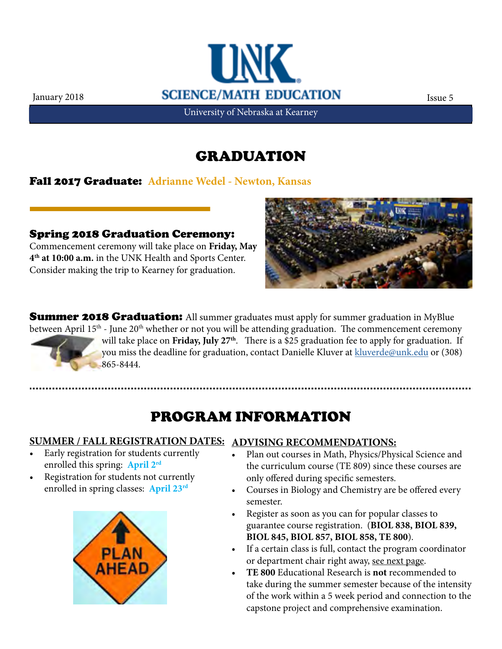

University of Nebraska at Kearney

#### GRADUATION

Fall 2017 Graduate: **Adrianne Wedel - Newton, Kansas**

Spring 2018 Graduation Ceremony: Commencement ceremony will take place on **Friday, May 4th at 10:00 a.m.** in the UNK Health and Sports Center. Consider making the trip to Kearney for graduation.



**Summer 2018 Graduation:** All summer graduates must apply for summer graduation in MyBlue between April 15<sup>th</sup> - June 20<sup>th</sup> whether or not you will be attending graduation. The commencement ceremony will take place on Friday, July 27<sup>th</sup>. There is a \$25 graduation fee to apply for graduation. If you miss the deadline for graduation, contact Danielle Kluver at [kluverde@unk.edu](mailto:kluverde%40unk.edu?subject=) or (308) 865-8444.

# PROGRAM INFORMATION

#### **SUMMER / FALL REGISTRATION DATES: ADVISING RECOMMENDATIONS:**

- Early registration for students currently enrolled this spring: **April 2rd**
- Registration for students not currently enrolled in spring classes: **April 23rd**



- Plan out courses in Math, Physics/Physical Science and the curriculum course (TE 809) since these courses are only offered during specific semesters.
- Courses in Biology and Chemistry are be offered every semester.
- Register as soon as you can for popular classes to guarantee course registration. (**BIOL 838, BIOL 839, BIOL 845, BIOL 857, BIOL 858, TE 800**).
- If a certain class is full, contact the program coordinator or department chair right away, see next page.
- **• TE 800** Educational Research is **not** recommended to take during the summer semester because of the intensity of the work within a 5 week period and connection to the capstone project and comprehensive examination.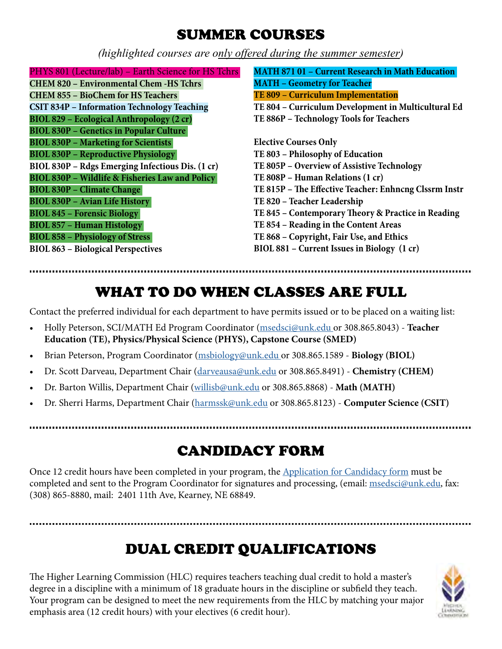### SUMMER COURSES

*(highlighted courses are only offered during the summer semester)*

**MATH 871 01 – Current Research in Math Education MATH – Geometry for Teacher TE 809 – Curriculum Implementation TE 804 – Curriculum Development in Multicultural Ed TE 886P – Technology Tools for Teachers Elective Courses Only TE 803 – Philosophy of Education TE 805P – Overview of Assistive Technology TE 808P – Human Relations (1 cr) TE 815P – The Effective Teacher: Enhncng Clssrm Instr TE 820 – Teacher Leadership TE 845 – Contemporary Theory & Practice in Reading TE 854 – Reading in the Content Areas TE 868 – Copyright, Fair Use, and Ethics BIOL 881 – Current Issues in Biology (1 cr)**  PHYS 801 (Lecture/lab) – Earth Science for HS Tchrs **CHEM 820 – Environmental Chem -HS Tchrs CHEM 855 – BioChem for HS Teachers CSIT 834P – Information Technology Teaching BIOL 829 – Ecological Anthropology (2 cr) BIOL 830P – Genetics in Popular Culture BIOL 830P – Marketing for Scientists BIOL 830P – Reproductive Physiology BIOL 830P – Rdgs Emerging Infectious Dis. (1 cr) BIOL 830P – Wildlife & Fisheries Law and Policy BIOL 830P – Climate Change BIOL 830P – Avian Life History BIOL 845 – Forensic Biology BIOL 857 – Human Histology BIOL 858 – Physiology of Stress BIOL 863 – Biological Perspectives**

# WHAT TO DO WHEN CLASSES ARE FULL

Contact the preferred individual for each department to have permits issued or to be placed on a waiting list:

- Holly Peterson, SCI/MATH Ed Program Coordinator [\(msedsci@unk.edu o](mailto:msedsci@unk.edu )r 308.865.8043) **Teacher Education (TE), Physics/Physical Science (PHYS), Capstone Course (SMED)**
- Brian Peterson, Program Coordinator ([msbiology@unk.edu o](mailto:msbiology%40unk.edu?subject=)r 308.865.1589 **Biology (BIOL)**
- Dr. Scott Darveau, Department Chair ([darveausa@unk.edu](mailto:darveausa@unk.edu) or 308.865.8491) **Chemistry (CHEM)**
- Dr. Barton Willis, Department Chair ([willisb@unk.edu](mailto:willisb%40unk.edu?subject=) or 308.865.8868) - **Math (MATH)**
- Dr. Sherri Harms, Department Chair ([harmssk@unk.edu](mailto:harmssk%40unk.edu?subject=) or 308.865.8123) **Computer Science (CSIT)**

# CANDIDACY FORM

Once 12 credit hours have been completed in your program, the [Application for Candidacy form](http://www.unk.edu/academics/gradstudies/admissions/grad-files/Grad%20Files/Candidacy_1-13.pdf) must be completed and sent to the Program Coordinator for signatures and processing, (email: [msedsci@unk.edu](mailto:msedsci@unk.edu ), fax: (308) 865-8880, mail: 2401 11th Ave, Kearney, NE 68849.

# DUAL CREDIT QUALIFICATIONS

The Higher Learning Commission (HLC) requires teachers teaching dual credit to hold a master's degree in a discipline with a minimum of 18 graduate hours in the discipline or subfield they teach. Your program can be designed to meet the new requirements from the HLC by matching your major emphasis area (12 credit hours) with your electives (6 credit hour).

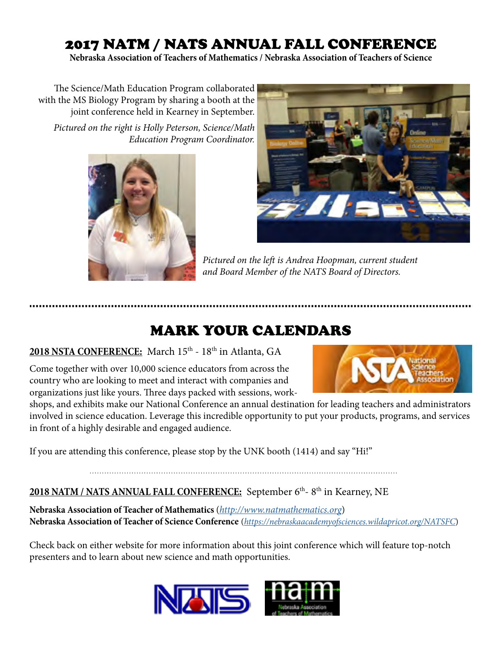## 2017 NATM / NATS ANNUAL FALL CONFERENCE

**Nebraska Association of Teachers of Mathematics / Nebraska Association of Teachers of Science**

The Science/Math Education Program collaborated with the MS Biology Program by sharing a booth at the joint conference held in Kearney in September.

*Pictured on the right is Holly Peterson, Science/Math Education Program Coordinator.*





*Pictured on the left is Andrea Hoopman, current student and Board Member of the NATS Board of Directors.*

## MARK YOUR CALENDARS

#### 2018 NSTA CONFERENCE: March 15<sup>th</sup> - 18<sup>th</sup> in Atlanta, GA

Come together with over 10,000 science educators from across the country who are looking to meet and interact with companies and organizations just like yours. Three days packed with sessions, work-



shops, and exhibits make our National Conference an annual destination for leading teachers and administrators involved in science education. Leverage this incredible opportunity to put your products, programs, and services in front of a highly desirable and engaged audience.

If you are attending this conference, please stop by the UNK booth (1414) and say "Hi!"

#### **2018 NATM / NATS ANNUAL FALL CONFERENCE:** September 6th- 8th in Kearney, NE

**Nebraska Association of Teacher of Mathematics** (*<http://www.natmathematics.org>*) **Nebraska Association of Teacher of Science Conference** (*<https://nebraskaacademyofsciences.wildapricot.org/NATSFC>*)

Check back on either website for more information about this joint conference which will feature top-notch presenters and to learn about new science and math opportunities.

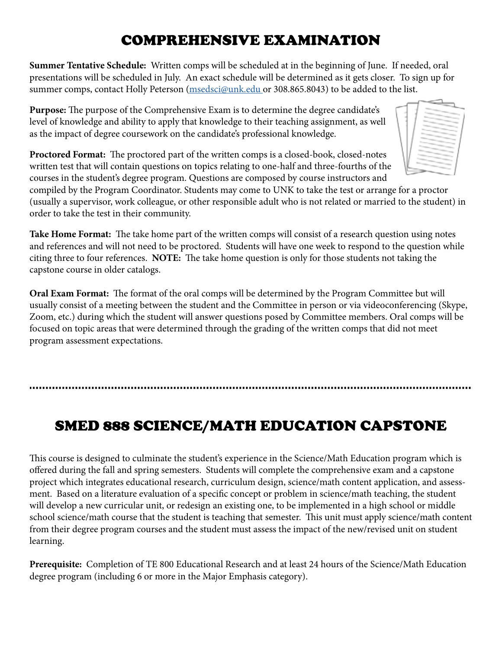### COMPREHENSIVE EXAMINATION

**Summer Tentative Schedule:** Written comps will be scheduled at in the beginning of June. If needed, oral presentations will be scheduled in July. An exact schedule will be determined as it gets closer. To sign up for summer comps, contact Holly Peterson ([msedsci@unk.edu](mailto:msedsci%40unk.edu?subject=) or 308.865.8043) to be added to the list.

**Purpose:** The purpose of the Comprehensive Exam is to determine the degree candidate's level of knowledge and ability to apply that knowledge to their teaching assignment, as well as the impact of degree coursework on the candidate's professional knowledge.

**Proctored Format:** The proctored part of the written comps is a closed-book, closed-notes written test that will contain questions on topics relating to one-half and three-fourths of the courses in the student's degree program. Questions are composed by course instructors and

compiled by the Program Coordinator. Students may come to UNK to take the test or arrange for a proctor (usually a supervisor, work colleague, or other responsible adult who is not related or married to the student) in order to take the test in their community.

**Take Home Format:** The take home part of the written comps will consist of a research question using notes and references and will not need to be proctored. Students will have one week to respond to the question while citing three to four references. **NOTE:** The take home question is only for those students not taking the capstone course in older catalogs.

**Oral Exam Format:** The format of the oral comps will be determined by the Program Committee but will usually consist of a meeting between the student and the Committee in person or via videoconferencing (Skype, Zoom, etc.) during which the student will answer questions posed by Committee members. Oral comps will be focused on topic areas that were determined through the grading of the written comps that did not meet program assessment expectations.

## SMED 888 SCIENCE/MATH EDUCATION CAPSTONE

This course is designed to culminate the student's experience in the Science/Math Education program which is offered during the fall and spring semesters. Students will complete the comprehensive exam and a capstone project which integrates educational research, curriculum design, science/math content application, and assessment. Based on a literature evaluation of a specific concept or problem in science/math teaching, the student will develop a new curricular unit, or redesign an existing one, to be implemented in a high school or middle school science/math course that the student is teaching that semester. This unit must apply science/math content from their degree program courses and the student must assess the impact of the new/revised unit on student learning.

**Prerequisite:** Completion of TE 800 Educational Research and at least 24 hours of the Science/Math Education degree program (including 6 or more in the Major Emphasis category).